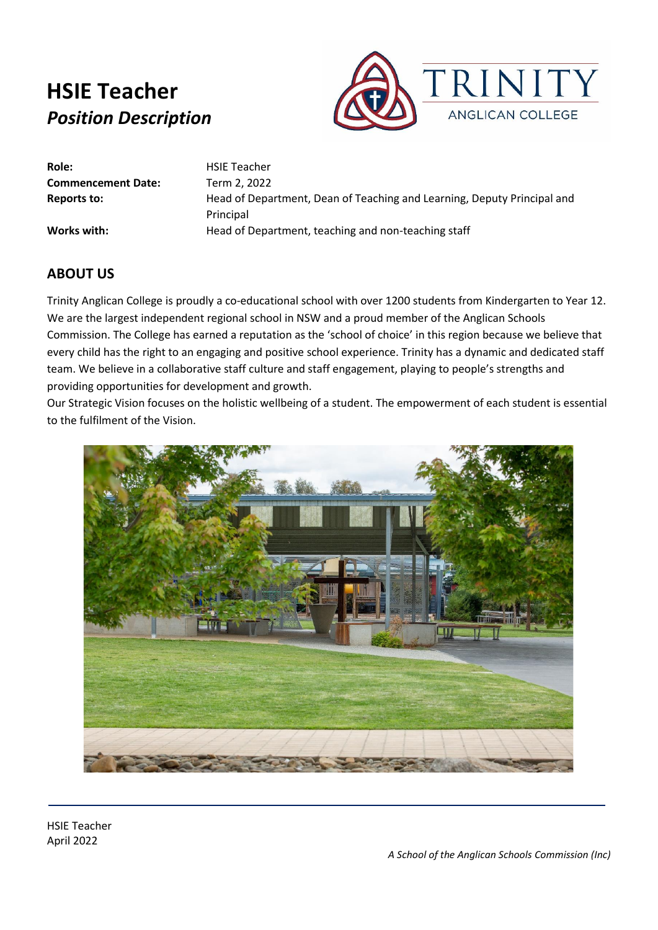

**Role:** HSIE Teacher **Commencement Date:** Term 2, 2022

**Reports to:** Head of Department, Dean of Teaching and Learning, Deputy Principal and Principal Works with: Head of Department, teaching and non-teaching staff

### **ABOUT US**

Trinity Anglican College is proudly a co-educational school with over 1200 students from Kindergarten to Year 12. We are the largest independent regional school in NSW and a proud member of the Anglican Schools Commission. The College has earned a reputation as the 'school of choice' in this region because we believe that every child has the right to an engaging and positive school experience. Trinity has a dynamic and dedicated staff team. We believe in a collaborative staff culture and staff engagement, playing to people's strengths and providing opportunities for development and growth.

Our Strategic Vision focuses on the holistic wellbeing of a student. The empowerment of each student is essential to the fulfilment of the Vision.

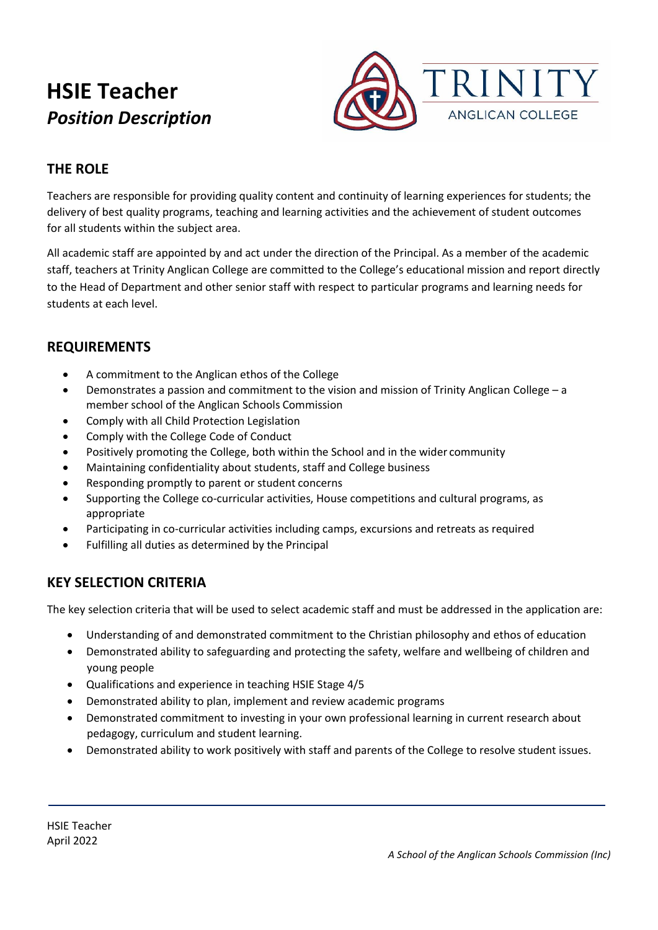

## **THE ROLE**

Teachers are responsible for providing quality content and continuity of learning experiences for students; the delivery of best quality programs, teaching and learning activities and the achievement of student outcomes for all students within the subject area.

All academic staff are appointed by and act under the direction of the Principal. As a member of the academic staff, teachers at Trinity Anglican College are committed to the College's educational mission and report directly to the Head of Department and other senior staff with respect to particular programs and learning needs for students at each level.

### **REQUIREMENTS**

- A commitment to the Anglican ethos of the College
- Demonstrates a passion and commitment to the vision and mission of Trinity Anglican College a member school of the Anglican Schools Commission
- Comply with all Child Protection Legislation
- Comply with the College Code of Conduct
- Positively promoting the College, both within the School and in the wider community
- Maintaining confidentiality about students, staff and College business
- Responding promptly to parent or student concerns
- Supporting the College co-curricular activities, House competitions and cultural programs, as appropriate
- Participating in co-curricular activities including camps, excursions and retreats as required
- Fulfilling all duties as determined by the Principal

### **KEY SELECTION CRITERIA**

The key selection criteria that will be used to select academic staff and must be addressed in the application are:

- Understanding of and demonstrated commitment to the Christian philosophy and ethos of education
- Demonstrated ability to safeguarding and protecting the safety, welfare and wellbeing of children and young people
- Qualifications and experience in teaching HSIE Stage 4/5
- Demonstrated ability to plan, implement and review academic programs
- Demonstrated commitment to investing in your own professional learning in current research about pedagogy, curriculum and student learning.
- Demonstrated ability to work positively with staff and parents of the College to resolve student issues.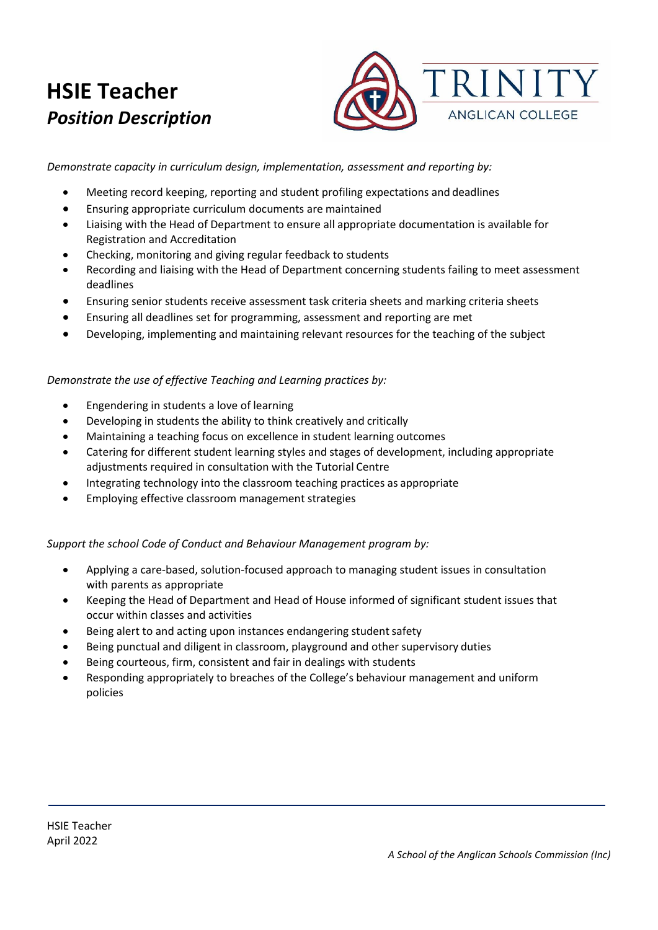

*Demonstrate capacity in curriculum design, implementation, assessment and reporting by:*

- Meeting record keeping, reporting and student profiling expectations and deadlines
- Ensuring appropriate curriculum documents are maintained
- Liaising with the Head of Department to ensure all appropriate documentation is available for Registration and Accreditation
- Checking, monitoring and giving regular feedback to students
- Recording and liaising with the Head of Department concerning students failing to meet assessment deadlines
- Ensuring senior students receive assessment task criteria sheets and marking criteria sheets
- Ensuring all deadlines set for programming, assessment and reporting are met
- Developing, implementing and maintaining relevant resources for the teaching of the subject

#### *Demonstrate the use of effective Teaching and Learning practices by:*

- Engendering in students a love of learning
- Developing in students the ability to think creatively and critically
- Maintaining a teaching focus on excellence in student learning outcomes
- Catering for different student learning styles and stages of development, including appropriate adjustments required in consultation with the Tutorial Centre
- Integrating technology into the classroom teaching practices as appropriate
- Employing effective classroom management strategies

#### *Support the school Code of Conduct and Behaviour Management program by:*

- Applying a care-based, solution-focused approach to managing student issues in consultation with parents as appropriate
- Keeping the Head of Department and Head of House informed of significant student issues that occur within classes and activities
- Being alert to and acting upon instances endangering student safety
- Being punctual and diligent in classroom, playground and other supervisory duties
- Being courteous, firm, consistent and fair in dealings with students
- Responding appropriately to breaches of the College's behaviour management and uniform policies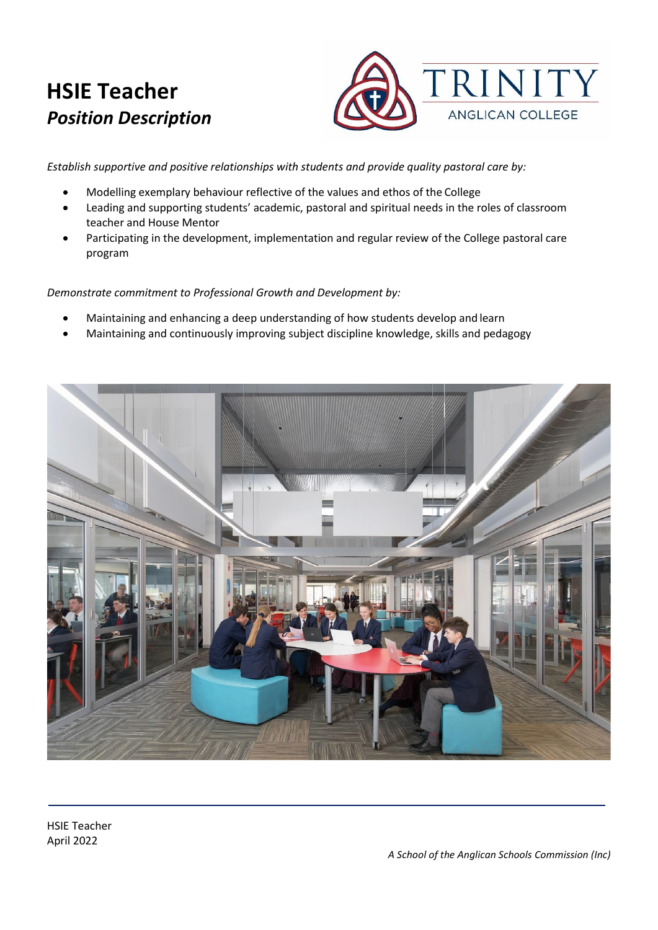

*Establish supportive and positive relationships with students and provide quality pastoral care by:*

- Modelling exemplary behaviour reflective of the values and ethos of the College
- Leading and supporting students' academic, pastoral and spiritual needs in the roles of classroom teacher and House Mentor
- Participating in the development, implementation and regular review of the College pastoral care program

*Demonstrate commitment to Professional Growth and Development by:*

- Maintaining and enhancing a deep understanding of how students develop and learn
- Maintaining and continuously improving subject discipline knowledge, skills and pedagogy



HSIE Teacher April 2022